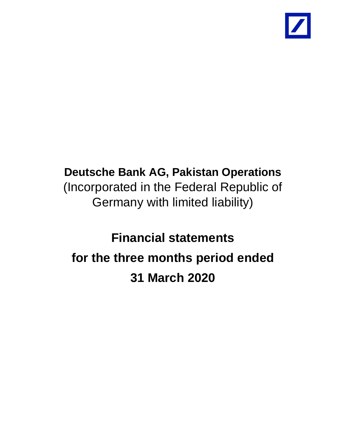

# **Deutsche Bank AG, Pakistan Operations** (Incorporated in the Federal Republic of Germany with limited liability)

# **Financial statements for the three months period ended 31 March 2020**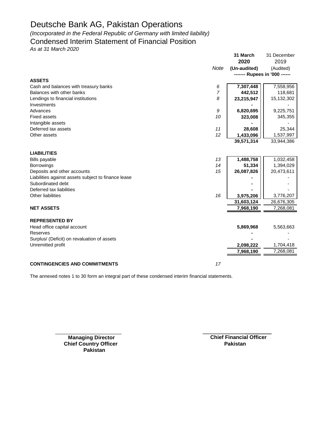*(Incorporated in the Federal Republic of Germany with limited liability)*

### Condensed Interim Statement of Financial Position

*As at 31 March 2020*

|                                                                    |             | 31 March<br>2020              | 31 December<br>2019 |  |
|--------------------------------------------------------------------|-------------|-------------------------------|---------------------|--|
|                                                                    |             |                               |                     |  |
|                                                                    | <b>Note</b> | (Un-audited)                  | (Audited)           |  |
| <b>ASSETS</b>                                                      |             | ------- Rupees in '000 ------ |                     |  |
|                                                                    |             | 7,307,448                     |                     |  |
| Cash and balances with treasury banks<br>Balances with other banks | 6<br>7      |                               | 7,558,956           |  |
|                                                                    |             | 442,512                       | 118,681             |  |
| Lendings to financial institutions                                 | 8           | 23,215,947                    | 15,132,302          |  |
| Investments                                                        |             |                               |                     |  |
| Advances                                                           | 9           | 6,820,695                     | 9,225,751           |  |
| <b>Fixed assets</b>                                                | 10          | 323,008                       | 345,355             |  |
| Intangible assets                                                  |             |                               |                     |  |
| Deferred tax assets                                                | 11          | 28,608                        | 25,344              |  |
| Other assets                                                       | 12          | 1,433,096                     | 1,537,997           |  |
|                                                                    |             | 39,571,314                    | 33,944,386          |  |
| <b>LIABILITIES</b>                                                 |             |                               |                     |  |
| <b>Bills payable</b>                                               | 13          | 1,488,758                     | 1,032,458           |  |
| <b>Borrowings</b>                                                  | 14          | 51,334                        | 1,394,029           |  |
| Deposits and other accounts                                        | 15          | 26,087,826                    | 20,473,611          |  |
| Liabilities against assets subject to finance lease                |             |                               |                     |  |
| Subordinated debt                                                  |             |                               |                     |  |
| Deferred tax liabilities                                           |             |                               |                     |  |
| Other liabilities                                                  | 16          | 3,975,206                     | 3,776,207           |  |
|                                                                    |             | 31,603,124                    | 26,676,305          |  |
| <b>NET ASSETS</b>                                                  |             | 7,968,190                     | 7,268,081           |  |
| <b>REPRESENTED BY</b>                                              |             |                               |                     |  |
|                                                                    |             |                               |                     |  |
| Head office capital account                                        |             | 5,869,968                     | 5,563,663           |  |
| Reserves                                                           |             |                               |                     |  |
| Surplus/ (Deficit) on revaluation of assets                        |             |                               |                     |  |
| Unremitted profit                                                  |             | 2,098,222                     | 1,704,418           |  |
|                                                                    |             | 7,968,190                     | 7,268,081           |  |
| <b>CONTINGENCIES AND COMMITMENTS</b>                               | 17          |                               |                     |  |

The annexed notes 1 to 30 form an integral part of these condensed interim financial statements.

**Chief Country Officer Pakistan** 

**Managing Director Chief Financial Officer Pakistan**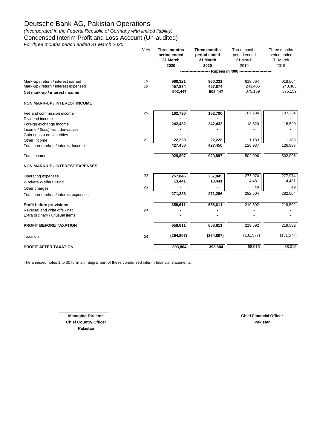*(Incorporated in the Federal Republic of Germany with limited liability)* Condensed Interim Profit and Loss Account (Un-audited)

*For three months period ended 31 March 2020*

|                                        | Note | Three months<br>period ended<br>31 March | Three months<br>period ended<br>31 March | Three months<br>period ended<br>31 March | Three months<br>period ended<br>31 March |
|----------------------------------------|------|------------------------------------------|------------------------------------------|------------------------------------------|------------------------------------------|
|                                        |      | 2020                                     | 2020                                     | 2019                                     | 2019                                     |
|                                        |      |                                          |                                          | - Rupees in '000 ----------------------- |                                          |
|                                        |      |                                          |                                          |                                          |                                          |
| Mark-up / return / interest earned     | 18   | 960,321                                  | 960,321                                  | 618,564                                  | 618,564                                  |
| Mark-up / return / interest expensed   | 19   | 457,874                                  | 457,874                                  | 243,405                                  | 243,405                                  |
| Net mark-up / interest income          |      | 502,447                                  | 502,447                                  | 375,159                                  | 375,159                                  |
| <b>NON MARK-UP / INTEREST INCOME</b>   |      |                                          |                                          |                                          |                                          |
| Fee and commission income              | 20   | 162,790                                  | 162,790                                  | 107,234                                  | 107,234                                  |
| Dividend income                        |      |                                          |                                          |                                          |                                          |
| Foreign exchange income                |      | 242,432                                  | 242,432                                  | 18,520                                   | 18,520                                   |
| Income / (loss) from derivatives       |      |                                          |                                          |                                          |                                          |
| Gain / (loss) on securities            |      |                                          |                                          |                                          |                                          |
| Other income                           | 21   | 22,228                                   | 22,228                                   | 1,183                                    | 1,183                                    |
| Total non-markup / interest Income     |      | 427,450                                  | 427,450                                  | 126,937                                  | 126,937                                  |
| <b>Total Income</b>                    |      | 929,897                                  | 929,897                                  | 502,096                                  | 502,096                                  |
| <b>NON MARK-UP / INTEREST EXPENSES</b> |      |                                          |                                          |                                          |                                          |
| Operating expenses                     | 22   | 257,845                                  | 257,845                                  | 277,974                                  | 277,974                                  |
| <b>Workers Welfare Fund</b>            |      | 13,441                                   | 13,441                                   | 4,481                                    | 4,481                                    |
| Other charges                          | 23   |                                          |                                          | 49                                       | 49                                       |
| Total non-markup / interest expenses   |      | 271,286                                  | 271,286                                  | 282,504                                  | 282,504                                  |
| Profit before provisions               |      | 658,611                                  | 658,611                                  | 219,592                                  | 219,592                                  |
| Reversal and write offs - net          | 24   |                                          |                                          |                                          |                                          |
| Extra ordinary / unusual items         |      |                                          |                                          |                                          |                                          |
| <b>PROFIT BEFORE TAXATION</b>          |      | 658,611                                  | 658,611                                  | 219,592                                  | 219,592                                  |
| Taxation                               | 24   | (264, 807)                               | (264, 807)                               | (131, 577)                               | (131, 577)                               |
| <b>PROFIT AFTER TAXATION</b>           |      | 393,804                                  | 393,804                                  | 88,015                                   | 88,015                                   |

The annexed notes 1 to 30 form an integral part of these condensed interim financial statements.

**Chief Country Officer Pakistan Pakistan**

**Managing Director** Chief Financial Officer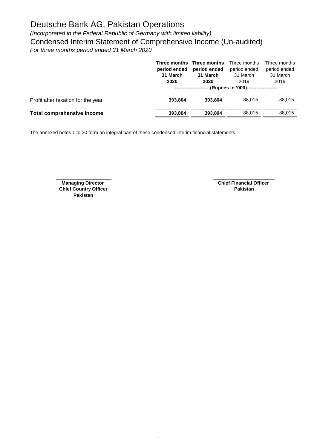*(Incorporated in the Federal Republic of Germany with limited liability)* Condensed Interim Statement of Comprehensive Income (Un-audited) *For three months period ended 31 March 2020*

|                                    | period ended<br>31 March<br>2020 | Three months Three months<br>period ended<br>31 March<br>2020 | Three months<br>period ended<br>31 March<br>2019<br>----(Rupees in '000)------------------- | Three months<br>period ended<br>31 March<br>2019 |
|------------------------------------|----------------------------------|---------------------------------------------------------------|---------------------------------------------------------------------------------------------|--------------------------------------------------|
| Profit after taxation for the year | 393.804                          | 393.804                                                       | 88.015                                                                                      | 88,015                                           |
| Total comprehensive income         | 393,804                          | 393,804                                                       | 88.015                                                                                      | 88,015                                           |

The annexed notes 1 to 30 form an integral part of these condensed interim financial statements.

**Chief Country Officer Pakistan**

**Managing Director** Chief Financial Officer<br> **Chief Financial Officer**<br> **Pakistan**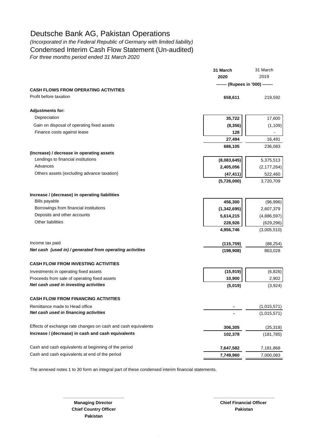*(Incorporated in the Federal Republic of Germany with limited liability)* Condensed Interim Cash Flow Statement (Un-audited)

*For three months period ended 31 March 2020*

|                                                               | 31 March                         | 31 March<br>2019 |  |
|---------------------------------------------------------------|----------------------------------|------------------|--|
|                                                               | 2020                             |                  |  |
|                                                               | ------- (Rupees in '000) ------- |                  |  |
| <b>CASH FLOWS FROM OPERATING ACTIVITIES</b>                   |                                  |                  |  |
| Profit before taxation                                        | 658,611                          | 219,592          |  |
| <b>Adjustments for:</b>                                       |                                  |                  |  |
| Depreciation                                                  | 35,722                           | 17,600           |  |
| Gain on disposal of operating fixed assets                    | (8, 356)                         | (1, 109)         |  |
| Finance costs against lease                                   | 128                              |                  |  |
|                                                               | 27,494                           | 16,491           |  |
|                                                               | 686,105                          | 236,083          |  |
| (Increase) / decrease in operating assets                     |                                  |                  |  |
| Lendings to financial institutions                            | (8,083,645)                      | 5,375,513        |  |
| Advances                                                      | 2,405,056                        | (2, 177, 264)    |  |
| Others assets (excluding advance taxation)                    | (47, 411)                        | 522,460          |  |
|                                                               | (5,726,000)                      | 3,720,709        |  |
|                                                               |                                  |                  |  |
| Increase / (decrease) in operating liabilities                |                                  |                  |  |
| <b>Bills payable</b>                                          | 456,300                          | (96, 996)        |  |
| Borrowings from financial institutions                        | (1,342,695)                      | 2,607,379        |  |
| Deposits and other accounts                                   | 5,614,215                        | (4,886,597)      |  |
| <b>Other liabilities</b>                                      | 228,926                          | (629, 296)       |  |
|                                                               | 4,956,746                        | (3,005,510)      |  |
| Income tax paid                                               | (115, 759)                       | (88, 254)        |  |
| Net cash (used in) / generated from operating activities      | (198, 908)                       | 863,028          |  |
| <b>CASH FLOW FROM INVESTING ACTIVITIES</b>                    |                                  |                  |  |
| Investments in operating fixed assets                         | (15,919)                         | (6, 826)         |  |
| Proceeds from sale of operating fixed assets                  | 10,900                           | 2,902            |  |
| Net cash used in investing activities                         | (5,019)                          | (3,924)          |  |
| <b>CASH FLOW FROM FINANCING ACTIVITIES</b>                    |                                  |                  |  |
| Remittance made to Head office                                |                                  | (1,015,571)      |  |
| Net cash used in financing activities                         |                                  | (1,015,571)      |  |
| Effects of exchange rate changes on cash and cash equivalents | 306,305                          | (25, 318)        |  |
| Increase / (decrease) in cash and cash equivalents            | 102,378                          | (181, 785)       |  |
|                                                               |                                  |                  |  |
| Cash and cash equivalents at beginning of the period          | 7,647,582                        | 7,181,868        |  |
| Cash and cash equivalents at end of the period                | 7,749,960                        | 7,000,083        |  |
|                                                               |                                  |                  |  |

**\_\_\_\_\_\_\_\_\_\_\_\_\_\_\_\_\_\_\_\_\_\_\_\_\_ \_\_\_\_\_\_\_\_\_\_\_\_\_\_\_\_\_\_\_\_\_\_\_\_\_**

The annexed notes 1 to 30 form an integral part of these condensed interim financial statements.

**Chief Country Officer Pakistan Pakistan**

**Managing Director Chief Financial Officer Chief Financial Officer**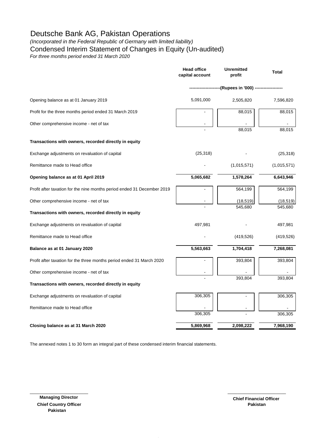*(Incorporated in the Federal Republic of Germany with limited liability)*

Condensed Interim Statement of Changes in Equity (Un-audited)

*For three months period ended 31 March 2020*

|                                                                         | Head office<br>capital account    | Unremitted<br>profit | <b>Total</b>         |
|-------------------------------------------------------------------------|-----------------------------------|----------------------|----------------------|
|                                                                         | ---------(Rupees in '000) ------- |                      |                      |
| Opening balance as at 01 January 2019                                   | 5,091,000                         | 2,505,820            | 7,596,820            |
| Profit for the three months period ended 31 March 2019                  |                                   | 88,015               | 88,015               |
| Other comprehensive income - net of tax                                 |                                   | 88,015               | 88,015               |
| Transactions with owners, recorded directly in equity                   |                                   |                      |                      |
| Exchange adjustments on revaluation of capital                          | (25, 318)                         |                      | (25, 318)            |
| Remittance made to Head office                                          |                                   | (1,015,571)          | (1,015,571)          |
| Opening balance as at 01 April 2019                                     | 5,065,682                         | 1,578,264            | 6,643,946            |
| Profit after taxation for the nine months period ended 31 December 2019 |                                   | 564,199              | 564,199              |
| Other comprehensive income - net of tax                                 |                                   | (18, 519)<br>545,680 | (18, 519)<br>545,680 |
| Transactions with owners, recorded directly in equity                   |                                   |                      |                      |
| Exchange adjustments on revaluation of capital                          | 497,981                           |                      | 497,981              |
| Remittance made to Head office                                          |                                   | (419, 526)           | (419, 526)           |
| Balance as at 01 January 2020                                           | 5,563,663                         | 1,704,418            | 7,268,081            |
| Profit after taxation for the three months period ended 31 March 2020   |                                   | 393,804              | 393,804              |
| Other comprehensive income - net of tax                                 |                                   | 393,804              | 393,804              |
| Transactions with owners, recorded directly in equity                   |                                   |                      |                      |
| Exchange adjustments on revaluation of capital                          | 306,305                           |                      | 306,305              |
| Remittance made to Head office                                          | 306,305                           |                      | 306,305              |
| Closing balance as at 31 March 2020                                     | 5,869,968                         | 2,098,222            | 7,968,190            |
|                                                                         |                                   |                      |                      |

 $\frac{1}{2}$  ,  $\frac{1}{2}$  ,  $\frac{1}{2}$  ,  $\frac{1}{2}$  ,  $\frac{1}{2}$  ,  $\frac{1}{2}$  ,  $\frac{1}{2}$  ,  $\frac{1}{2}$  ,  $\frac{1}{2}$  ,  $\frac{1}{2}$  ,  $\frac{1}{2}$  ,  $\frac{1}{2}$  ,  $\frac{1}{2}$  ,  $\frac{1}{2}$  ,  $\frac{1}{2}$  ,  $\frac{1}{2}$  ,  $\frac{1}{2}$  ,  $\frac{1}{2}$  ,  $\frac{1$ 

The annexed notes 1 to 30 form an integral part of these condensed interim financial statements.

 **Managing Director Chief Country Officer Pakistan**

**Pakistan Chief Financial Officer**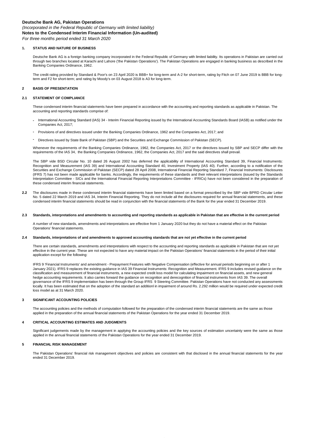*(Incorporated in the Federal Republic of Germany with limited liability)* **Notes to the Condensed Interim Financial Information (Un-audited)**

*For three months period ended 31 March 2020*

#### **1. STATUS AND NATURE OF BUSINESS**

Deutsche Bank AG is a foreign banking company incorporated in the Federal Republic of Germany with limited liability. Its operations in Pakistan are carried out through two branches located at Karachi and Lahore ('the Pakistan Operations'). The Pakistan Operations are engaged in banking business as described in the Banking Companies Ordinance, 1962.

The credit rating provided by Standard & Poor's on 23 April 2020 is BBB+ for long-term and A-2 for short-term, rating by Fitch on 07 June 2019 is BBB for longterm and F2 for short-term; and rating by Moody's on 03 August 2018 is A3 for long-term.

#### **2 BASIS OF PRESENTATION**

#### **2.1 STATEMENT OF COMPLIANCE**

These condensed interim financial statements have been prepared in accordance with the accounting and reporting standards as applicable in Pakistan. The accounting and reporting standards comprise of:

- **-** International Accounting Standard (IAS) 34 - Interim Financial Reporting issued by the International Accounting Standards Board (IASB) as notified under the Companies Act, 2017;
- **-** Provisions of and directives issued under the Banking Companies Ordinance, 1962 and the Companies Act, 2017; and
- **-** Directives issued by State Bank of Pakistan (SBP) and the Securities and Exchange Commission of Pakistan (SECP).

Whenever the requirements of the Banking Companies Ordinance, 1962, the Companies Act, 2017 or the directives issued by SBP and SECP differ with the requirements of the IAS 34, the Banking Companies Ordinance, 1962, the Companies Act, 2017 and the said directives shall prevail.

The SBP vide BSD Circular No. 10 dated 26 August 2002 has deferred the applicability of International Accounting Standard 39, Financial Instruments: Recognition and Measurement (IAS 39) and International Accounting Standard 40, Investment Property (IAS 40). Further, according to a notification of the Securities and Exchange Commission of Pakistan (SECP) dated 28 April 2008, International Financial Reporting Standard 7, Financial Instruments: Disclosures (IFRS 7) has not been made applicable for banks. Accordingly, the requirements of these standards and their relevant interpretations (issued by the Standards Interpretation Committee - SICs and the International Financial Reporting Interpretations Committee - IFRICs) have not been considered in the preparation of these condensed interim financial statements.

**2.2** The disclosures made in these condensed interim financial statements have been limited based on a format prescribed by the SBP vide BPRD Circular Letter No. 5 dated 22 March 2019 and IAS 34, Interim Financial Reporting. They do not include all the disclosures required for annual financial statements, and these condensed interim financial statements should be read in conjunction with the financial statements of the Bank for the year ended 31 December 2019.

#### **2.3 Standards, interpretations and amendments to accounting and reporting standards as applicable in Pakistan that are effective in the current period**

A number of new standards, amendments and interpretations are effective from 1 January 2020 but they do not have a material effect on the Pakistan Operations' financial statements.

#### **2.4 Standards, interpretations of and amendments to approved accounting standards that are not yet effective in the current period**

There are certain standards, amendments and interpretations with respect to the accounting and reporting standards as applicable in Pakistan that are not yet effective in the current year. These are not expected to have any material impact on the Pakistan Operations' financial statements in the period of their initial application except for the following:

IFRS 9 'Financial Instruments' and amendment - Prepayment Features with Negative Compensation (effective for annual periods beginning on or after 1 January 2021). IFRS 9 replaces the existing guidance in IAS 39 Financial Instruments: Recognition and Measurement. IFRS 9 includes revised guidance on the classification and measurement of financial instruments, a new expected credit loss model for calculating impairment on financial assets, and new general hedge accounting requirements. It also carries forward the guidance on recognition and derecognition of financial instruments from IAS 39. The overall governance of the IFRS 9 implementation has been through the Group IFRS 9 Steering Committee. Pakistan Operations have not conducted any assessments locally. It has been estimated that on the adoption of the standard an additionl in impairment of around Rs. 2.292 million would be required under expected credit loss model as at 31 March 2020.

#### **3 SIGNIFICANT ACCOUNTING POLICIES**

The accounting policies and the methods of computation followed for the preparation of the condensed interim financial statements are the same as those applied in the preparation of the annual financial statements of the Pakistan Operations for the year ended 31 December 2019.

#### **4 CRITICAL ACCOUNTING ESTIMATES AND JUDGMENTS**

Significant judgements made by the management in applying the accounting policies and the key sources of estimation uncertainty were the same as those applied in the annual financial statements of the Pakistan Operations for the year ended 31 December 2019.

#### **5 FINANCIAL RISK MANAGEMENT**

The Pakistan Operations' financial risk management objectives and policies are consistent with that disclosed in the annual financial statements for the year ended 31 December 2019.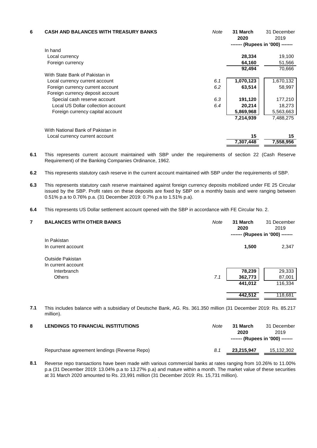| 6 | <b>CASH AND BALANCES WITH TREASURY BANKS</b> | Note | 31 March<br>2020<br>------- (Rupees in '000) ------- | 31 December<br>2019 |
|---|----------------------------------------------|------|------------------------------------------------------|---------------------|
|   | In hand                                      |      |                                                      |                     |
|   | Local currency                               |      | 28,334                                               | 19,100              |
|   | Foreign currency                             |      | 64,160                                               | 51,566              |
|   |                                              |      | 92,494                                               | 70,666              |
|   | With State Bank of Pakistan in               |      |                                                      |                     |
|   | Local currency current account               | 6.1  | 1,070,123                                            | 1,670,132           |
|   | Foreign currency current account             | 6.2  | 63,514                                               | 58,997              |
|   | Foreign currency deposit account             |      |                                                      |                     |
|   | Special cash reserve account                 | 6.3  | 191,120                                              | 177,210             |
|   | Local US Dollar collection account           | 6.4  | 20,214                                               | 18,273              |
|   | Foreign currency capital account             |      | 5,869,968                                            | 5,563,663           |
|   |                                              |      | 7,214,939                                            | 7,488,275           |
|   | With National Bank of Pakistan in            |      |                                                      |                     |
|   | Local currency current account               |      | 15                                                   | 15                  |
|   |                                              |      | 7,307,448                                            | 7,558,956           |

**6.1** This represents current account maintained with SBP under the requirements of section 22 (Cash Reserve Requirement) of the Banking Companies Ordinance, 1962.

- **6.2** This represents statutory cash reserve in the current account maintained with SBP under the requirements of SBP.
- **6.3** This represents statutory cash reserve maintained against foreign currency deposits mobilized under FE 25 Circular issued by the SBP. Profit rates on these deposits are fixed by SBP on a monthly basis and were ranging between 0.51% p.a to 0.76% p.a. (31 December 2019: 0.7% p.a to 1.51% p.a).
- **6.4** This represents US Dollar settlement account opened with the SBP in accordance with FE Circular No. 2.

| 7 | <b>BALANCES WITH OTHER BANKS</b> | Note | 31 March<br>2020<br>------- (Rupees in '000) ------- | 31 December<br>2019 |
|---|----------------------------------|------|------------------------------------------------------|---------------------|
|   | In Pakistan                      |      |                                                      |                     |
|   | In current account               |      | 1,500                                                | 2,347               |
|   | Outside Pakistan                 |      |                                                      |                     |
|   | In current account               |      |                                                      |                     |
|   | Interbranch                      |      | 78,239                                               | 29,333              |
|   | <b>Others</b>                    | 7.1  | 362,773                                              | 87,001              |
|   |                                  |      | 441,012                                              | 116,334             |
|   |                                  |      | 442,512                                              | 118,681             |
|   |                                  |      |                                                      |                     |

**7.1** This includes balance with a subsidiary of Deutsche Bank, AG. Rs. 361.350 million (31 December 2019: Rs. 85.217 million).

| <b>LENDINGS TO FINANCIAL INSTITUTIONS</b>    | Note | 31 March<br>2020<br>------- (Rupees in '000) ------- | 31 December<br>2019 |
|----------------------------------------------|------|------------------------------------------------------|---------------------|
| Repurchase agreement lendings (Reverse Repo) | 8.1  | 23.215.947                                           | 15,132,302          |

**8.1** Reverse repo transactions have been made with various commercial banks at rates ranging from 10.26% to 11.00% p.a (31 December 2019: 13.04% p.a to 13.27% p.a) and mature within a month. The market value of these securities at 31 March 2020 amounted to Rs. 23,991 million (31 December 2019: Rs. 15,731 million).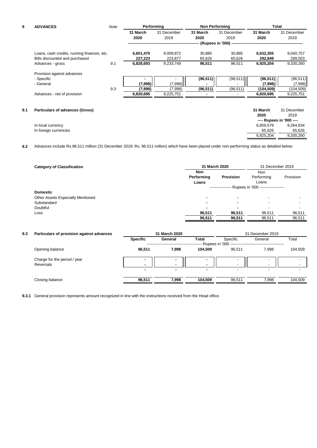| 9   | <b>ADVANCES</b>                             | Note | Performing |             | <b>Non Performing</b> |                      |            | Total                    |
|-----|---------------------------------------------|------|------------|-------------|-----------------------|----------------------|------------|--------------------------|
|     |                                             |      | 31 March   | 31 December | 31 March              | 31 December          | 31 March   | 31 December              |
|     |                                             |      | 2020       | 2019        | 2020                  | 2019                 | 2020       | 2019                     |
|     |                                             |      |            |             |                       | (Rupees in '000) --- |            |                          |
|     | Loans, cash credits, running finances, etc. |      | 6,601,470  | 9,009,872   | 30,885                | 30,885               | 6,632,355  | 9,040,757                |
|     | Bills discounted and purchased              |      | 227,223    | 223,877     | 65,626                | 65,626               | 292,849    | 289,503                  |
|     | Advances - gross                            | 9.1  | 6,828,693  | 9,233,749   | 96,511                | 96,511               | 6,925,204  | 9,330,260                |
|     | Provision against advances                  |      |            |             |                       |                      |            |                          |
|     | - Specific                                  |      |            |             | (96, 511)             | (96, 511)            | (96, 511)  | (96, 511)                |
|     | - General                                   |      | (7,998)    | (7,998)     |                       |                      | (7,998)    | (7,998)                  |
|     |                                             | 9.3  | (7,998)    | (7,998)     | (96, 511)             | (96, 511)            | (104, 509) | (104, 509)               |
|     | Advances - net of provision                 |      | 6,820,695  | 9,225,751   |                       |                      | 6,820,695  | 9,225,751                |
|     |                                             |      |            |             |                       |                      |            |                          |
| 9.1 | <b>Particulars of advances (Gross)</b>      |      |            |             |                       |                      | 31 March   | 31 December              |
|     |                                             |      |            |             |                       |                      | 2020       | 2019                     |
|     |                                             |      |            |             |                       |                      |            | ---- Rupees in '000 ---- |
|     | In local currency                           |      |            |             |                       |                      | 6,859,578  | 9,264,634                |
|     | In foreign currencies                       |      |            |             |                       |                      | 65,626     | 65,626                   |
|     |                                             |      |            |             |                       |                      | 6,925,204  | 9,330,260                |

**9.2** Advances include Rs.96.511 million (31 December 2019: Rs. 96.511 million) which have been placed under non-performing status as detailed below:

| <b>Category of Classification</b> | 31 March 2020                     | 31 December 2019 |                            |           |  |  |
|-----------------------------------|-----------------------------------|------------------|----------------------------|-----------|--|--|
|                                   | <b>Non</b><br>Performing<br>Loans | <b>Provision</b> | Non<br>Performing<br>Loans | Provision |  |  |
|                                   | Rupees in '000 ------------------ |                  |                            |           |  |  |
| <b>Domestic</b>                   |                                   |                  |                            |           |  |  |
| Other Assets Especially Mentioned | -                                 | $\blacksquare$   |                            | -         |  |  |
| Substandard                       |                                   | $\blacksquare$   |                            | -         |  |  |
| Doubtful                          |                                   | $\blacksquare$   |                            | $\,$      |  |  |
| Loss                              | 96,511                            | 96,511           | 96.511                     | 96,511    |  |  |
|                                   | 96,511                            | 96,511           | 96,511                     | 96,511    |  |  |

| 9.3 | Particulars of provision against advances | 31 March 2020            |         |                | 31 December 2019              |                          |         |
|-----|-------------------------------------------|--------------------------|---------|----------------|-------------------------------|--------------------------|---------|
|     |                                           | <b>Specific</b>          | General | <b>Total</b>   | Specific<br>Rupees in '000 -- | General                  | Total   |
|     | Opening balance                           | 96,511                   | 7.998   | 104.509        | 96.511                        | 7.998                    | 104.509 |
|     | Charge for the period / year<br>Reversals |                          | ۰       | $\blacksquare$ |                               | $\overline{\phantom{0}}$ |         |
|     |                                           | $\overline{\phantom{a}}$ | ۰       | $\blacksquare$ | $\overline{\phantom{a}}$      | $\,$                     |         |
|     | Closing balance                           | 96,511                   | 7.998   | 104.509        | 96,511                        | 7.998                    | 104,509 |

**9.3.1** General provision represents amount recognized in line with the instructions received from the Head office.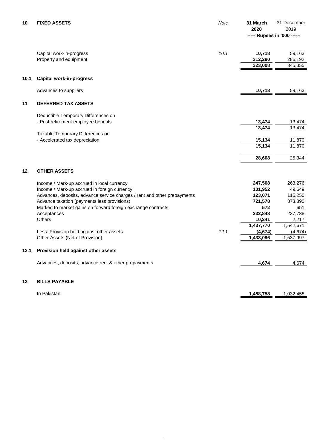| 10   | <b>FIXED ASSETS</b>                                                      | Note | 31 March<br>2020<br>----- Rupees in '000 ------ | 31 December<br>2019  |
|------|--------------------------------------------------------------------------|------|-------------------------------------------------|----------------------|
|      |                                                                          |      |                                                 |                      |
|      | Capital work-in-progress<br>Property and equipment                       | 10.1 | 10,718<br>312,290                               | 59,163<br>286,192    |
|      |                                                                          |      | 323,008                                         | 345,355              |
| 10.1 | <b>Capital work-in-progress</b>                                          |      |                                                 |                      |
|      | Advances to suppliers                                                    |      | 10,718                                          | 59,163               |
| 11   | DEFERRED TAX ASSETS                                                      |      |                                                 |                      |
|      | Deductible Temporary Differences on                                      |      |                                                 |                      |
|      | - Post retirement employee benefits                                      |      | 13,474                                          | 13,474               |
|      |                                                                          |      | 13,474                                          | 13,474               |
|      | Taxable Temporary Differences on<br>- Accelerated tax depreciation       |      | 15,134                                          | 11,870               |
|      |                                                                          |      | 15,134                                          | 11,870               |
|      |                                                                          |      | 28,608                                          | 25,344               |
| 12   | <b>OTHER ASSETS</b>                                                      |      |                                                 |                      |
|      | Income / Mark-up accrued in local currency                               |      | 247,508                                         | 263,276              |
|      | Income / Mark-up accrued in foreign currency                             |      | 101,952                                         | 49,649               |
|      | Advances, deposits, advance service charges / rent and other prepayments |      | 123,071                                         | 115,250              |
|      | Advance taxation (payments less provisions)                              |      | 721,578                                         | 873,890              |
|      | Marked to market gains on forward foreign exchange contracts             |      | 572                                             | 651                  |
|      | Acceptances                                                              |      | 232,848                                         | 237,738              |
|      | Others                                                                   |      | 10,241                                          | 2,217                |
|      | Less: Provision held against other assets                                | 12.1 | 1,437,770                                       | 1,542,671            |
|      | Other Assets (Net of Provision)                                          |      | (4, 674)<br>$\overline{1,}433,096$              | (4,674)<br>1,537,997 |
|      |                                                                          |      |                                                 |                      |
| 12.1 | Provision held against other assets                                      |      |                                                 |                      |
|      | Advances, deposits, advance rent & other prepayments                     |      | 4,674                                           | 4,674                |
| 13   | <b>BILLS PAYABLE</b>                                                     |      |                                                 |                      |
|      |                                                                          |      |                                                 |                      |
|      | In Pakistan                                                              |      | 1,488,758                                       | 1,032,458            |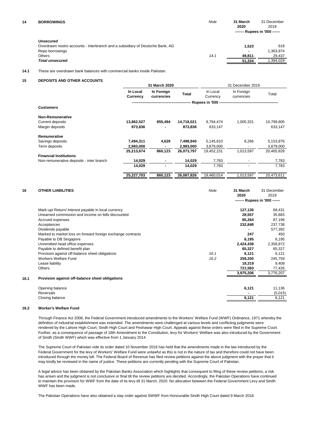**14 BORROWINGS** *Note* **31 March** 31 December **2020** 2019  **------- Rupees in '000 ------**

| Unsecured                                                                     |      |        |           |
|-------------------------------------------------------------------------------|------|--------|-----------|
| Overdrawn nostro accounts - Interbranch and a subsidiary of Deutsche Bank, AG |      | 1.523  | 618       |
| Repo borrowings                                                               |      |        | 1.363.974 |
| Others                                                                        | 14.1 | 49.811 | 29.437    |
| <b>Total unsecured</b>                                                        |      | 51.334 | .394.029  |
|                                                                               |      |        |           |

#### **14.1** These are overdrawn bank balances with commercial banks inside Pakistan.

#### **15 DEPOSITS AND OTHER ACCOUNTS**

|                                          | 31 March 2020        |                          |            | 31 December 2019     |                          |            |
|------------------------------------------|----------------------|--------------------------|------------|----------------------|--------------------------|------------|
|                                          | In Local<br>Currency | In Foreign<br>currencies | Total      | In Local<br>Currency | In Foreign<br>currencies | Total      |
|                                          |                      |                          |            |                      |                          |            |
| <b>Customers</b>                         |                      |                          |            |                      |                          |            |
| <b>Non-Remunerative</b>                  |                      |                          |            |                      |                          |            |
| <b>Current deposits</b>                  | 13,862,527           | 855,494                  | 14,718,021 | 9,794,474            | 1,005,331                | 10,799,805 |
| Margin deposits                          | 873,836              |                          | 873,836    | 633,147              |                          | 633,147    |
| Remunerative                             |                      |                          |            |                      |                          |            |
| Savings deposits                         | 7,494,311            | 4,629                    | 7,498,940  | 5,145,610            | 8,266                    | 5,153,876  |
| Term deposits                            | 2,983,000            |                          | 2,983,000  | 3,879,000            |                          | 3,879,000  |
|                                          | 25,213,674           | 860,123                  | 26,073,797 | 19,452,231           | 1,013,597                | 20,465,828 |
| <b>Financial Institutions</b>            |                      |                          |            |                      |                          |            |
| Non-remunerative deposits - inter branch | 14,029               |                          | 14,029     | 7,783                |                          | 7,783      |
|                                          | 14,029               | ۰                        | 14,029     | 7,783                |                          | 7,783      |
|                                          | 25,227,703           | 860,123                  | 26,087,826 | 19,460,014           | 1,013,597                | 20,473,611 |

| 16   | <b>OTHER LIABILITIES</b>                                    | Note | 31 March<br>2020 | 31 December<br>2019           |
|------|-------------------------------------------------------------|------|------------------|-------------------------------|
|      |                                                             |      |                  | ------- Rupees in '000 ------ |
|      | Mark-up/ Return/ Interest payable in local currency         |      | 127,130          | 68,431                        |
|      | Unearned commission and income on bills discounted          |      | 28,557           | 35,883                        |
|      | Accrued expenses                                            |      | 85,264           | 87,196                        |
|      | Acceptances                                                 |      | 232,848          | 237,738                       |
|      | Dividends payable                                           |      |                  | 577,392                       |
|      | Marked to market loss on forward foreign exchange contracts |      | 247              | 450                           |
|      | Payable to DB Singapore                                     |      | 6,195            | 6,195                         |
|      | Unremitted head office expenses                             |      | 2,424,438        | 2,358,872                     |
|      | Payable to defined benefit plan                             |      | 65,327           | 65,327                        |
|      | Provision against off-balance sheet obligations             | 16.1 | 6,121            | 6,121                         |
|      | <b>Workers Welfare Fund</b>                                 | 16.2 | 259,200          | 245,759                       |
|      | Lease liability                                             |      | 18,319           | 9,408                         |
|      | Others                                                      |      | 721,560          | 77,435                        |
|      |                                                             |      | 3,975,206        | 3,776,207                     |
| 16.1 | Provision against off-balance sheet obligations             |      |                  |                               |
|      | Opening balance                                             |      | 6,121            | 11,136                        |
|      | Reversals                                                   |      |                  | (5,015)                       |
|      | Closing balance                                             |      | 6,121            | 6,121                         |
|      |                                                             |      |                  |                               |

#### **16.2 Worker's Welfare Fund**

Through Finance Act 2008, the Federal Government introduced amendments to the Workers' Welfare Fund (WWF) Ordinance, 1971 whereby the definition of industrial establishment was extended. The amendments were challenged at various levels and conflicting judgments were rendered by the Lahore High Court, Sindh High Court and Peshawar High Court. Appeals against these orders were filed in the Supreme Court. Further, as a consequence of passage of 18th Amendment to the Constitution, levy for Workers' Welfare was also introduced by the Government of Sindh (Sindh WWF) which was effective from 1 January 2014.

The Supreme Court of Pakistan vide its order dated 10 November 2016 has held that the amendments made in the law introduced by the Federal Government for the levy of Workers' Welfare Fund were unlawful as this is not in the nature of tax and therefore could not have been introduced through the money bill. The Federal Board of Revenue has filed review petitions against the above judgment with the prayer that it may kindly be reviewed in the name of justice. These petitions are currently pending with the Supreme Court of Pakistan.

A legal advice has been obtained by the Pakistan Banks Association which highlights that consequent to filing of these review petitions, a risk has arisen and the judgment is not conclusive or final till the review petitions are decided. Accordingly, the Pakistan Operations have continued to maintain the provision for WWF from the date of its levy till 31 March, 2020. No allocation between the Federal Government Levy and Sindh WWF has been made.

The Pakistan Operations have also obtained a stay order against SWWF from Honourable Sindh High Court dated 9 March 2018.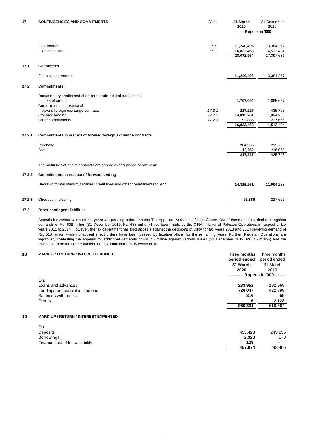| 17     | <b>CONTINGENCIES AND COMMITMENTS</b>                                          | <b>Note</b>  | 31 March<br>2020              | 31 December<br>2019      |
|--------|-------------------------------------------------------------------------------|--------------|-------------------------------|--------------------------|
|        |                                                                               |              | ------- Rupees in '000 ------ |                          |
|        |                                                                               |              |                               |                          |
|        | -Guarantees<br>-Commitments                                                   | 17.1<br>17.2 | 11,240,496                    | 13,384,277               |
|        |                                                                               |              | 16,832,468<br>28,072,964      | 14,513,404<br>27,897,681 |
|        |                                                                               |              |                               |                          |
| 17.1   | <b>Guarantees</b>                                                             |              |                               |                          |
|        | Financial guarantees                                                          |              | 11,240,496                    | 13,384,277               |
| 17.2   | <b>Commitments</b>                                                            |              |                               |                          |
|        | Documentary credits and short-term trade-related transactions                 |              |                               |                          |
|        | - letters of credit                                                           |              | 1,707,094                     | 1,855,657                |
|        | Commitments in respect of:                                                    |              |                               |                          |
|        | - forward foreign exchange contracts                                          | 17.2.1       | 217,227                       | 435,798                  |
|        | - forward lending                                                             | 17.2.2       | 14,815,261                    | 11,994,283               |
|        | Other commitments                                                             | 17.2.3       | 92,886                        | 227,666                  |
|        |                                                                               |              | 16,832,468                    | 14,513,404               |
| 17.2.1 | Commitments in respect of forward foreign exchange contracts                  |              |                               |                          |
|        | Purchase                                                                      |              | 204,965                       | 219,730                  |
|        | Sale                                                                          |              | 12,262                        | 216,068                  |
|        |                                                                               |              | 217,227                       | 435,798                  |
|        | The maturities of above contracts are spread over a period of one year.       |              |                               |                          |
| 17.2.2 | Commitments in respect of forward lending                                     |              |                               |                          |
|        | Undrawn formal standby facilities, credit lines and other commitments to lend |              | 14,815,261                    | 11,994,283               |
|        |                                                                               |              |                               |                          |
| 17.2.3 | Cheques in clearing                                                           |              | 92.886                        | 227,666                  |

#### **17.3 Other contingent liabilities**

Appeals for various assessment years are pending before Income Tax Appellate Authorities / High Courts. Out of these appeals, decisions against demands of Rs. 638 million (31 December 2019: Rs. 638 million) have been made by the CIRA in favor of Pakistan Operations in respect of tax years 2011 to 2014. However, the tax department has filed appeals against the decisions of CIRA for tax years 2013 and 2014 involving demand of Rs. 513 million while no appeal effect orders have been passed by taxation officer for the remaining years. Further, Pakistan Operations are vigorously contesting the appeals for additional demands of Rs. 45 million against various issues (31 December 2019: Rs. 45 million) and the Pakistan Operations are confident that no additional liability would arise.

#### **18 MARK-UP / RETURN / INTEREST EARNED Three months** Three months

| period ended<br>31 March<br>2020 | period ended<br>31 March<br>2019  |  |
|----------------------------------|-----------------------------------|--|
|                                  |                                   |  |
|                                  |                                   |  |
|                                  |                                   |  |
|                                  | ---------- Rupees in '000 ------- |  |
|                                  |                                   |  |
| 233.952                          | 192,968                           |  |
| 726,047                          | 422,899                           |  |
| 316                              | 569                               |  |
| 6                                | 2,128                             |  |
| 960,321                          | 618,564                           |  |
|                                  |                                   |  |

#### **19 MARK-UP / RETURN / INTEREST EXPENSED**

| On:                             |         |                          |
|---------------------------------|---------|--------------------------|
| Deposits                        | 455.423 | 243,235                  |
| <b>Borrowings</b>               | 2.323   | 170                      |
| Finance cost of lease liability | 128     | $\overline{\phantom{0}}$ |
|                                 | 457.874 | 243.405                  |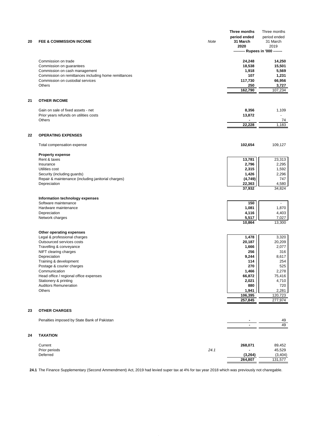|    |                                                      |      | Three months                    | Three months   |
|----|------------------------------------------------------|------|---------------------------------|----------------|
|    |                                                      |      | period ended                    | period ended   |
| 20 | <b>FEE &amp; COMMISSION INCOME</b>                   | Note | 31 March                        | 31 March       |
|    |                                                      |      | 2020                            | 2019           |
|    |                                                      |      | -------- Rupees in '000 ------- |                |
|    |                                                      |      |                                 |                |
|    |                                                      |      |                                 |                |
|    | Commission on trade                                  |      | 24,248                          | 14,250         |
|    | Commission on guarantees                             |      | 18,538                          | 15,501         |
|    | Commission on cash management                        |      | 1,918                           | 5,569          |
|    | Commission on remittances including home remittances |      | 107                             | 1,231          |
|    | Commission on custodial services                     |      | 117,730                         | 66,956         |
|    | <b>Others</b>                                        |      | 250                             | 3,727          |
|    |                                                      |      | 162,790                         | 107,234        |
|    |                                                      |      |                                 |                |
|    |                                                      |      |                                 |                |
| 21 | <b>OTHER INCOME</b>                                  |      |                                 |                |
|    |                                                      |      |                                 |                |
|    | Gain on sale of fixed assets - net                   |      | 8,356                           | 1,109          |
|    | Prior years refunds on utilities costs               |      | 13,872                          | $\blacksquare$ |
|    | Others                                               |      |                                 | 74             |
|    |                                                      |      | 22,228                          | 1,183          |
|    |                                                      |      |                                 |                |
|    |                                                      |      |                                 |                |
| 22 | <b>OPERATING EXPENSES</b>                            |      |                                 |                |
|    |                                                      |      |                                 |                |
|    | Total compensation expense                           |      | 102,654                         | 109,127        |
|    |                                                      |      |                                 |                |
|    | <b>Property expense</b>                              |      |                                 |                |
|    | Rent & taxes                                         |      | 13,781                          | 23,313         |
|    | Insurance                                            |      | 2,796                           | 2,295          |
|    | Utilities cost                                       |      | 2,315                           | 1,592          |
|    | Security (including guards)                          |      | 1,426                           | 2,296          |
|    | Repair & maintenance (including janitorial charges)  |      |                                 | 747            |
|    |                                                      |      | (4,749)                         |                |
|    | Depreciation                                         |      | 22,363                          | 4,580          |
|    |                                                      |      | 37,932                          | 34,824         |
|    |                                                      |      |                                 |                |
|    | Information technology expenses                      |      |                                 |                |
|    | Software maintenance                                 |      | 150                             | $\blacksquare$ |
|    | Hardware maintenance                                 |      | 1,081                           | 1,870          |
|    | Depreciation                                         |      | 4,116                           | 4,403          |
|    | Network charges                                      |      | 5,517                           | 7,027          |
|    |                                                      |      |                                 |                |
|    |                                                      |      | 10,864                          | 13,300         |
|    |                                                      |      |                                 |                |
|    | Other operating expenses                             |      |                                 |                |
|    | Legal & professional charges                         |      | 1,478                           | 3,320          |
|    | Outsourced services costs                            |      | 20,187                          | 20,209         |
|    | Travelling & conveyance                              |      | 1,666                           | 2,077          |
|    | NIFT clearing charges                                |      | 256                             | 316            |
|    | Depreciation                                         |      | 9,244                           | 8,617          |
|    | Training & development                               |      | 114                             | 254            |
|    |                                                      |      | 270                             | 525            |
|    | Postage & courier charges                            |      |                                 |                |
|    | Communication                                        |      | 1,466                           | 2,278          |
|    | Head office / regional office expenses               |      | 66,872                          | 75,416         |
|    | Stationery & printing                                |      | 2,021                           | 4,710          |
|    | <b>Auditors Remuneration</b>                         |      | 880                             | 720            |
|    | Others                                               |      | 1,941                           | 2,281          |
|    |                                                      |      | 106,395                         | 120,723        |
|    |                                                      |      | 257,845                         | 277,974        |
|    |                                                      |      |                                 |                |
|    | <b>OTHER CHARGES</b>                                 |      |                                 |                |
| 23 |                                                      |      |                                 |                |
|    |                                                      |      |                                 |                |
|    | Penalties imposed by State Bank of Pakistan          |      |                                 | 49             |
|    |                                                      |      | $\blacksquare$                  | 49             |
|    |                                                      |      |                                 |                |
| 24 | <b>TAXATION</b>                                      |      |                                 |                |
|    |                                                      |      |                                 |                |
|    | Current                                              |      | 268,071                         | 89,452         |
|    | Prior periods                                        | 24.1 |                                 | 45,529         |
|    |                                                      |      |                                 |                |
|    | Deferred                                             |      | (3, 264)                        | (3,404)        |
|    |                                                      |      | 264,807                         | 131,577        |

**24.1** The Finance Supplementary (Second Ammendment) Act, 2019 had levied super tax at 4% for tax year 2018 which was previously not charegable.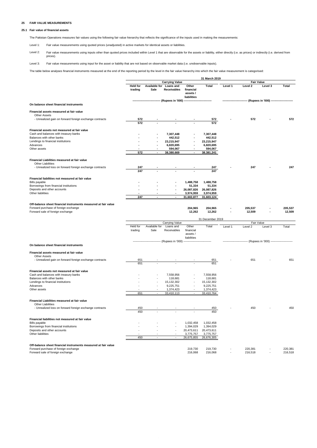#### **25 FAIR VALUE MEASUREMENTS**

#### **25.1 Fair value of financial assets**

The Pakistan Operations measures fair values using the following fair value hierarchy that reflects the significance of the inputs used in making the measurements:

Level 1: Fair value measurements using quoted prices (unadjusted) in active markets for identical assets or liabilities.

Level 2: Fair value measurements using inputs other than quoted prices included within Level 1 that are observable for the assets or liability, either directly (i.e. as prices) or indirectly (i.e. derived from prices).

Level 3: Fair value measurements using input for the asset or liability that are not based on observable market data (i.e. unobservable inputs).

The table below analyses financial instruments measured at the end of the reporting period by the level in the fair value hierarchy into which the fair value measurement is categorised:

|                                                                                                        |                            |               |                                               |                                               | 31 March 2019           |         |                                          |                    |         |
|--------------------------------------------------------------------------------------------------------|----------------------------|---------------|-----------------------------------------------|-----------------------------------------------|-------------------------|---------|------------------------------------------|--------------------|---------|
|                                                                                                        |                            |               | <b>Carrying Value</b>                         |                                               |                         |         | <b>Fair Value</b>                        |                    |         |
|                                                                                                        | <b>Held for</b><br>trading | Sale          | Available for Loans and<br><b>Receivables</b> | Other<br>financial<br>assets /<br>liabilities | Total                   | Level 1 | Level 2                                  | Level 3            | Total   |
| On balance sheet financial instruments                                                                 |                            |               | (Rupees in '000)                              |                                               |                         |         |                                          | (Rupees in '000) - |         |
|                                                                                                        |                            |               |                                               |                                               |                         |         |                                          |                    |         |
| Financial assets measured at fair value<br>Other Assets                                                |                            |               |                                               |                                               |                         |         |                                          |                    |         |
| - Unrealized gain on forward foreign exchange contracts                                                | <u>572</u><br>572          |               |                                               |                                               | 572<br>572              |         | 572                                      |                    | 572     |
| Financial assets not measured at fair value                                                            |                            |               |                                               |                                               |                         |         |                                          |                    |         |
| Cash and balances with treasury banks                                                                  |                            |               | 7,307,448                                     |                                               | 7,307,448               |         |                                          |                    |         |
| Balances with other banks                                                                              |                            |               | 442,512                                       |                                               | 442,512                 |         |                                          |                    |         |
| Lendings to financial institutions                                                                     |                            |               | 23,215,947                                    |                                               | 23,215,947              |         |                                          |                    |         |
| Advances                                                                                               |                            |               | 6,820,695                                     |                                               | 6,820,695               |         |                                          |                    |         |
| Other assets                                                                                           | 572                        |               | 594,067                                       |                                               | 594,067                 |         |                                          |                    |         |
|                                                                                                        |                            |               | 38,380,669                                    |                                               | 38,381,241              |         |                                          |                    |         |
| Financial Liabilities measured at fair value<br><b>Other Liabilities</b>                               |                            |               |                                               |                                               |                         |         |                                          |                    |         |
| - Unrealized loss on forward foreign exchange contracts                                                | 247                        |               |                                               |                                               | 247                     |         | 247                                      |                    | 247     |
|                                                                                                        | 247                        |               |                                               |                                               | 247                     |         |                                          |                    |         |
| Financial liabilities not measured at fair value                                                       |                            |               |                                               |                                               |                         |         |                                          |                    |         |
| Bills payable                                                                                          |                            |               |                                               | 1,488,758                                     | 1,488,758               |         |                                          |                    |         |
| Borrowings from financial institutions                                                                 |                            |               |                                               | 51,334                                        | 51,334                  |         |                                          |                    |         |
| Deposits and other accounts                                                                            |                            |               |                                               | 26,087,826                                    | 26,087,826              |         |                                          |                    |         |
| Other liabilities                                                                                      |                            |               |                                               | 3,974,959                                     | 3,974,959               |         |                                          |                    |         |
|                                                                                                        | 247                        |               |                                               | 31,602,877                                    | 31,603,124              |         |                                          |                    |         |
|                                                                                                        |                            |               |                                               |                                               |                         |         |                                          |                    |         |
| Off-balance sheet financial instruments measured at fair value<br>Forward purchase of foreign exchange |                            |               |                                               | 204,965                                       | 204,965                 |         | 205,537                                  |                    | 205,537 |
| Forward sale of foreign exchange                                                                       |                            |               |                                               | 12,262                                        | 12,262                  |         | 12,509                                   |                    | 12,509  |
|                                                                                                        |                            |               |                                               |                                               |                         |         |                                          |                    |         |
|                                                                                                        |                            |               | Carrying Value                                |                                               | 31 December 2019        |         | Fair Value                               |                    |         |
|                                                                                                        | Held for                   | Available for | Loans and                                     | Other                                         | Total                   | Level 1 | Level 2                                  | Level 3            | Total   |
|                                                                                                        | trading                    | Sale          | Receivables                                   | financial<br>assets /<br>liabilities          |                         |         |                                          |                    |         |
|                                                                                                        |                            |               | -------------- (Rupees in '000)               |                                               |                         |         | (Rupees in '000) ----------------------- |                    |         |
| On balance sheet financial instruments                                                                 |                            |               |                                               |                                               |                         |         |                                          |                    |         |
| Financial assets measured at fair value                                                                |                            |               |                                               |                                               |                         |         |                                          |                    |         |
| Other Assets<br>- Unrealized gain on forward foreign exchange contracts                                | 651                        |               |                                               |                                               | 651                     |         | 651                                      |                    | 651     |
|                                                                                                        | 651                        |               |                                               |                                               | 651                     |         |                                          |                    |         |
|                                                                                                        |                            |               |                                               |                                               |                         |         |                                          |                    |         |
| Financial assets not measured at fair value                                                            |                            |               |                                               |                                               |                         |         |                                          |                    |         |
| Cash and balances with treasury banks<br>Balances with other banks                                     |                            |               | 7,558,956<br>118,681                          |                                               | 7,558,956<br>118,681    |         |                                          |                    |         |
| Lendings to financial institutions                                                                     |                            |               | 15,132,302                                    |                                               | 15,132,302              |         |                                          |                    |         |
| Advances                                                                                               |                            |               | 9,225,751                                     |                                               | 9,225,751               |         |                                          |                    |         |
| Other assets                                                                                           |                            |               | 1,374,423                                     |                                               | 1,374,423               |         |                                          |                    |         |
|                                                                                                        | 651                        |               | 33,410,113                                    |                                               | 33,410,764              |         |                                          |                    |         |
|                                                                                                        |                            |               |                                               |                                               |                         |         |                                          |                    |         |
| Financial Liabilities measured at fair value<br><b>Other Liabilities</b>                               |                            |               |                                               |                                               |                         |         |                                          |                    |         |
| - Unrealized loss on forward foreign exchange contracts                                                | 450                        |               |                                               |                                               | 450                     |         | 450                                      |                    | 450     |
|                                                                                                        | 450                        |               |                                               |                                               | 450                     |         |                                          |                    |         |
|                                                                                                        |                            |               |                                               |                                               |                         |         |                                          |                    |         |
| Financial liabilities not measured at fair value                                                       |                            |               |                                               |                                               |                         |         |                                          |                    |         |
| Bills payable                                                                                          |                            |               |                                               | 1,032,458                                     | 1,032,458               |         |                                          |                    |         |
| Borrowings from financial institutions                                                                 |                            |               |                                               | 1,394,029                                     | 1,394,029               |         |                                          |                    |         |
| Deposits and other accounts<br>Other liabilities                                                       |                            |               |                                               | 20,473,611                                    | 20,473,611              |         |                                          |                    |         |
|                                                                                                        | 450                        |               |                                               | 3,775,757<br>26,675,855                       | 3,775,757<br>26,676,305 |         |                                          |                    |         |
|                                                                                                        |                            |               |                                               |                                               |                         |         |                                          |                    |         |
| Off-balance sheet financial instruments measured at fair value                                         |                            |               |                                               |                                               |                         |         |                                          |                    |         |
| Forward purchase of foreign exchange                                                                   |                            |               |                                               | 219,730                                       | 219,730                 |         | 220,381                                  |                    | 220,381 |
| Forward sale of foreign exchange                                                                       |                            |               |                                               | 216,068                                       | 216,068                 |         | 216,518                                  |                    | 216,518 |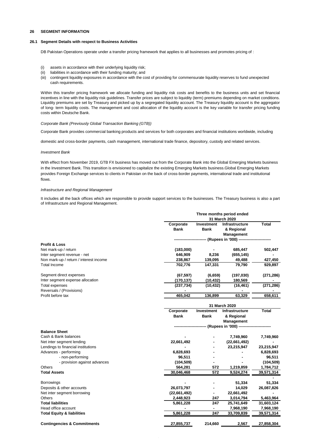#### **26 SEGMENT INFORMATION**

#### **26.1 Segment Details with respect to Business Activities**

DB Pakistan Operations operate under a transfer pricing framework that applies to all businesses and promotes pricing of :

- (i) assets in accordance with their underlying liquidity risk;
- (ii) liabilities in accordance with their funding maturity; and
- (iii) contingent liquidity exposures in accordance with the cost of providing for commensurate liquidity reserves to fund unexpected cash requirements.

Within this transfer pricing framework we allocate funding and liquidity risk costs and benefits to the business units and set financial incentives in line with the liquidity risk guidelines. Transfer prices are subject to liquidity (term) premiums depending on market conditions. Liquidity premiums are set by Treasury and picked up by a segregated liquidity account. The Treasury liquidity account is the aggregator of long- term liquidity costs. The management and cost allocation of the liquidity account is the key variable for transfer pricing funding costs within Deutsche Bank.

#### *Corporate Bank (Previously Global Transaction Banking (GTB))*

Corporate Bank provides commercial banking products and services for both corporates and financial institutions worldwide, including

domestic and cross-border payments, cash management, international trade finance, depository, custody and related services.

#### *Investment Bank*

With effect from November 2019, GTB FX business has moved out from the Corporate Bank into the Global Emerging Markets business in the Investment Bank. This transition is envisioned to capitalize the existing Emerging Markets business.Global Emerging Markets provides Foreign Exchange services to clients in Pakistan on the back of cross-border payments, international trade and institutional flows.

#### *Infrastructure and Regional Management*

It includes all the back offices which are responsible to provide support services to the businesses. The Treasury business is also a part of Infrastructure and Regional Management.

|                                        |               |                   | Three months period ended               |              |  |
|----------------------------------------|---------------|-------------------|-----------------------------------------|--------------|--|
|                                        |               |                   | 31 March 2020                           |              |  |
|                                        | Corporate     | Investment        | <b>Infrastructure</b>                   | <b>Total</b> |  |
|                                        | <b>Bank</b>   | Bank              | & Regional                              |              |  |
|                                        |               |                   | Management                              |              |  |
|                                        |               |                   | --- (Rupees in '000) ------------------ |              |  |
| <b>Profit &amp; Loss</b>               |               |                   |                                         |              |  |
| Net mark-up / return                   | (183,000)     |                   | 685,447                                 | 502,447      |  |
| Inter segment revenue - net            | 646,909       | 8,236             | (655, 145)                              |              |  |
| Non mark-up / return / interest income | 238,867       | 139,095           | 49,488                                  | 427,450      |  |
| Total Income                           | 702,776       | 147,331           | 79,790                                  | 929,897      |  |
| Segment direct expenses                | (67, 597)     | (6,659)           | (197,030)                               | (271, 286)   |  |
| Inter segment expense allocation       | (170, 137)    | (10, 432)         | 180,569                                 |              |  |
| <b>Total expenses</b>                  | (237, 734)    | (10, 432)         | (16, 461)                               | (271, 286)   |  |
| Reversals / (Provisions)               |               |                   |                                         |              |  |
| Profit before tax                      | 465,042       | 136,899           | 63,329                                  | 658,611      |  |
|                                        | 31 March 2020 |                   |                                         |              |  |
|                                        | Corporate     | <b>Investment</b> | <b>Infrastructure</b>                   | Total        |  |
|                                        | <b>Bank</b>   | <b>Bank</b>       | & Regional                              |              |  |
|                                        |               |                   | Management                              |              |  |
|                                        |               |                   | --- (Rupees in '000) --------           |              |  |
| <b>Balance Sheet</b>                   |               |                   |                                         |              |  |
| Cash & Bank balances                   |               |                   | 7,749,960                               | 7,749,960    |  |
| Net inter segment lending              | 22,661,492    |                   | (22,661,492)                            |              |  |
| Lendings to financial institutions     |               |                   | 23,215,947                              | 23,215,947   |  |
| Advances - performing                  | 6,828,693     |                   |                                         | 6,828,693    |  |
| - non-performing                       | 96,511        |                   |                                         | 96,511       |  |
| - provision against advances           | (104, 509)    |                   |                                         | (104, 509)   |  |
| Others                                 | 564,281       | 572               | 1,219,859                               | 1,784,712    |  |
| <b>Total Assets</b>                    | 30,046,468    | 572               | 9,524,274                               | 39,571,314   |  |
| <b>Borrowings</b>                      |               |                   | 51,334                                  | 51,334       |  |
| Deposits & other accounts              | 26,073,797    |                   | 14,029                                  | 26,087,826   |  |
| Net inter segment borrowing            | (22,661,492)  | ٠                 | 22,661,492                              |              |  |
| <b>Others</b>                          | 2,448,923     | 247               | 3,014,794                               | 5,463,964    |  |
| <b>Total liabilities</b>               | 5,861,228     | 247               | 25,741,649                              | 31,603,124   |  |
| Head office account                    |               | ۰                 | 7,968,190                               | 7,968,190    |  |
| <b>Total Equity &amp; liabilities</b>  | 5,861,228     | 247               | 33,709,839                              | 39,571,314   |  |
| <b>Contingencies &amp; Commitments</b> | 27,855,737    | 214,660           | 2,567                                   | 27,858,304   |  |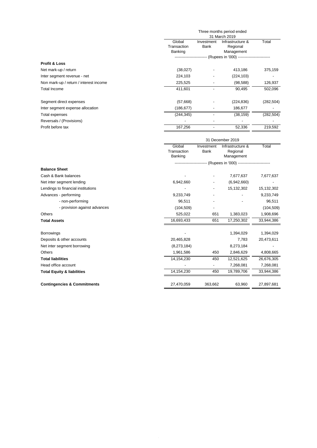|                                        | Three months period ended<br>31 March 2019 |                    |                                             |            |  |
|----------------------------------------|--------------------------------------------|--------------------|---------------------------------------------|------------|--|
|                                        | Global<br>Transaction<br>Banking           | Investment<br>Bank | Infrastructure &<br>Regional<br>Management  | Total      |  |
|                                        |                                            |                    | - (Rupees in '000) ------------------------ |            |  |
| <b>Profit &amp; Loss</b>               |                                            |                    |                                             |            |  |
| Net mark-up / return                   | (38,027)                                   |                    | 413,186                                     | 375,159    |  |
| Inter segment revenue - net            | 224,103                                    |                    | (224, 103)                                  |            |  |
| Non mark-up / return / interest income | 225,525                                    |                    | (98, 588)                                   | 126,937    |  |
| Total Income                           | 411,601                                    |                    | 90,495                                      | 502,096    |  |
| Segment direct expenses                | (57,668)                                   |                    | (224, 836)                                  | (282, 504) |  |
| Inter segment expense allocation       | (186, 677)                                 |                    | 186,677                                     |            |  |
| Total expenses                         | (244, 345)                                 |                    | (38, 159)                                   | (282, 504) |  |
| Reversals / (Provisions)               |                                            |                    |                                             |            |  |
| Profit before tax                      | 167,256                                    |                    | 52,336                                      | 219,592    |  |

31 December 2019

|                                        | Global<br>Transaction<br>Banking | Investment<br><b>Bank</b>                    | Infrastructure &<br>Regional<br>Management | Total      |
|----------------------------------------|----------------------------------|----------------------------------------------|--------------------------------------------|------------|
|                                        |                                  | -- (Rupees in '000) ------------------------ |                                            |            |
| <b>Balance Sheet</b>                   |                                  |                                              |                                            |            |
| Cash & Bank balances                   |                                  |                                              | 7,677,637                                  | 7,677,637  |
| Net inter segment lending              | 6,942,660                        |                                              | (6,942,660)                                |            |
| Lendings to financial institutions     |                                  |                                              | 15,132,302                                 | 15,132,302 |
| Advances - performing                  | 9,233,749                        |                                              |                                            | 9,233,749  |
| - non-performing                       | 96,511                           |                                              |                                            | 96,511     |
| - provision against advances           | (104, 509)                       |                                              |                                            | (104, 509) |
| <b>Others</b>                          | 525,022                          | 651                                          | 1,383,023                                  | 1,908,696  |
| <b>Total Assets</b>                    | 16,693,433                       | 651                                          | 17,250,302                                 | 33,944,386 |
| <b>Borrowings</b>                      |                                  |                                              | 1,394,029                                  | 1,394,029  |
| Deposits & other accounts              | 20,465,828                       |                                              | 7,783                                      | 20,473,611 |
| Net inter segment borrowing            | (8,273,184)                      |                                              | 8,273,184                                  |            |
| <b>Others</b>                          | 1,961,586                        | 450                                          | 2,846,629                                  | 4,808,665  |
| <b>Total liabilities</b>               | 14,154,230                       | 450                                          | 12,521,625                                 | 26,676,305 |
| Head office account                    |                                  |                                              | 7,268,081                                  | 7,268,081  |
| <b>Total Equity &amp; liabilities</b>  | 14,154,230                       | 450                                          | 19,789,706                                 | 33,944,386 |
| <b>Contingencies &amp; Commitments</b> | 27,470,059                       | 363,662                                      | 63,960                                     | 27,897,681 |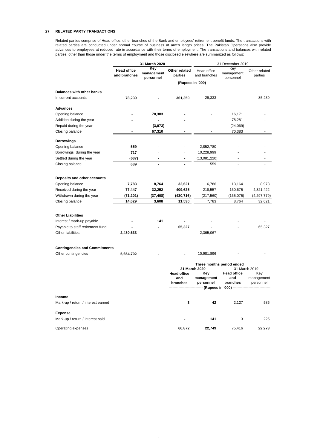#### **27 RELATED PARTY TRANSACTIONS**

Related parties comprise of Head office, other branches of the Bank and employees' retirement benefit funds. The transactions with related parties are conducted under normal course of business at arm's length prices. The Pakistan Operations also provide advances to employees at reduced rate in accordance with their terms of employment. The transactions and balances with related parties, other than those under the terms of employment and those disclosed elsewhere are summarized as follows:

|                                              | 31 March 2020                      |                                |                          | 31 December 2019              |                                |                          |  |
|----------------------------------------------|------------------------------------|--------------------------------|--------------------------|-------------------------------|--------------------------------|--------------------------|--|
|                                              | <b>Head office</b><br>and branches | Key<br>management<br>personnel | Other related<br>parties | Head office<br>and branches   | Key<br>management<br>personnel | Other related<br>parties |  |
|                                              |                                    |                                |                          | -- (Rupees in '000) ---       |                                |                          |  |
| <b>Balances with other banks</b>             |                                    |                                |                          |                               |                                |                          |  |
| In current accounts                          | 78,239                             |                                | 361,350                  | 29,333                        |                                | 85,239                   |  |
|                                              |                                    |                                |                          |                               |                                |                          |  |
| <b>Advances</b>                              |                                    |                                |                          |                               |                                |                          |  |
| Opening balance                              |                                    | 70,383                         |                          |                               | 16,171                         |                          |  |
| Addition during the year                     |                                    | $\overline{a}$                 |                          |                               | 78,281                         |                          |  |
| Repaid during the year                       |                                    | (3,073)                        |                          |                               | (24,069)                       |                          |  |
| Closing balance                              | $\overline{\phantom{a}}$           | 67,310                         |                          | ÷,                            | 70,383                         | $\sim$                   |  |
| <b>Borrowings</b>                            |                                    |                                |                          |                               |                                |                          |  |
| Opening balance                              | 559                                |                                |                          | 2,852,780                     |                                |                          |  |
| Borrowings during the year                   | 717                                |                                |                          | 10,228,999                    |                                |                          |  |
| Settled during the year                      | (637)                              | ۰                              | $\overline{a}$           | (13,081,220)                  |                                | ×.                       |  |
| Closing balance                              | 639                                | $\overline{\phantom{a}}$       | $\overline{\phantom{a}}$ | 559                           | $\overline{\phantom{a}}$       | ÷.                       |  |
|                                              |                                    |                                |                          |                               |                                |                          |  |
|                                              |                                    |                                |                          |                               |                                |                          |  |
| Deposits and other accounts                  |                                    |                                |                          |                               |                                |                          |  |
| Opening balance                              | 7,783                              | 8,764                          | 32,621                   | 6,786                         | 13,164                         | 8,978                    |  |
| Received during the year                     | 77,447                             | 32,252                         | 409,625                  | 218,557                       | 160,675                        | 4,321,422                |  |
| Withdrawn during the year                    | (71,201)                           | (37, 408)                      | (430, 716)               | (217, 560)                    | (165, 075)                     | (4,297,779)              |  |
| Closing balance                              | 14,029                             | 3,608                          | 11,530                   | 7,783                         | 8,764                          | 32,621                   |  |
| <b>Other Liabilities</b>                     |                                    |                                |                          |                               |                                |                          |  |
| Interest / mark-up payable                   |                                    | 141                            |                          |                               |                                |                          |  |
| Payable to staff retirement fund             |                                    |                                | 65,327                   |                               |                                | 65,327                   |  |
| Other liabilities                            | 2,430,633                          |                                |                          | 2,365,067                     |                                |                          |  |
|                                              |                                    |                                |                          |                               |                                |                          |  |
| <b>Contingencies and Commitments</b>         |                                    |                                |                          |                               |                                |                          |  |
| Other contingencies                          | 5,654,702                          |                                |                          | 10,981,896                    |                                |                          |  |
|                                              |                                    |                                |                          |                               | Three months period ended      |                          |  |
|                                              |                                    |                                |                          | 31 March 2020                 |                                | 31 March 2019            |  |
|                                              |                                    |                                | <b>Head office</b>       | Key                           | <b>Head office</b><br>and      | Key                      |  |
|                                              |                                    |                                | and<br>branches          | management<br>personnel       | branches                       | management<br>personnel  |  |
|                                              |                                    |                                |                          | ----- (Rupees in '000) ------ |                                |                          |  |
|                                              |                                    |                                |                          |                               |                                |                          |  |
| Income<br>Mark-up / return / interest earned |                                    |                                | 3                        | 42                            | 2,127                          | 586                      |  |
|                                              |                                    |                                |                          |                               |                                |                          |  |
| <b>Expense</b>                               |                                    |                                |                          |                               |                                |                          |  |
| Mark-up / return / interest paid             |                                    |                                |                          | 141                           | 3                              | 225                      |  |
| Operating expenses                           |                                    |                                | 66,872                   | 22,749                        | 75,416                         | 22,273                   |  |